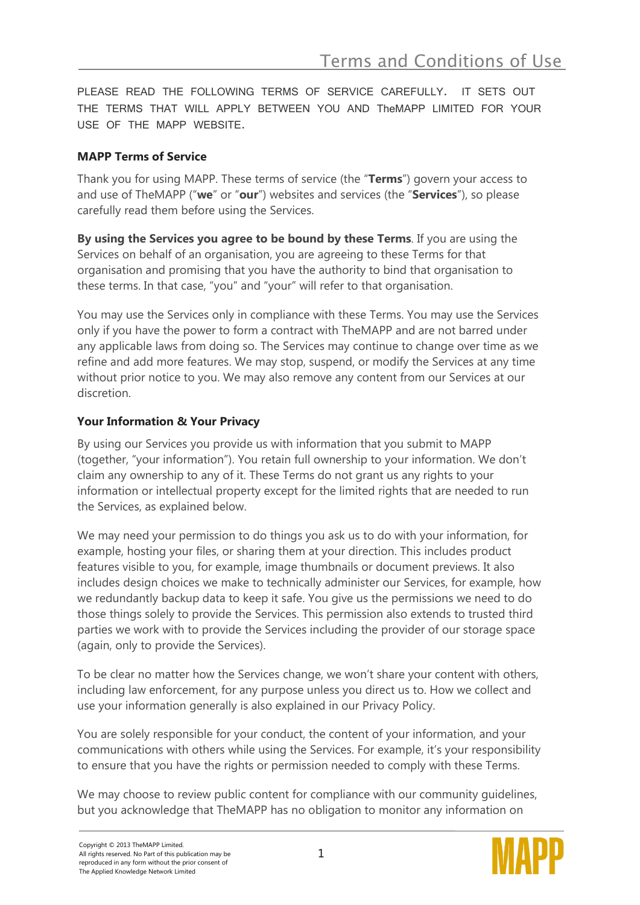PLEASE READ THE FOLLOWING TERMS OF SERVICE CAREFULLY. IT SETS OUT THE TERMS THAT WILL APPLY BETWEEN YOU AND TheMAPP LIMITED FOR YOUR USE OF THE MAPP WEBSITE.

## **MAPP Terms of Service**

Thank you for using MAPP. These terms of service (the "**Terms**") govern your access to and use of TheMAPP ("**we**" or "**our**") websites and services (the "**Services**"), so please carefully read them before using the Services.

**By using the Services you agree to be bound by these Terms**. If you are using the Services on behalf of an organisation, you are agreeing to these Terms for that organisation and promising that you have the authority to bind that organisation to these terms. In that case, "you" and "your" will refer to that organisation.

You may use the Services only in compliance with these Terms. You may use the Services only if you have the power to form a contract with TheMAPP and are not barred under any applicable laws from doing so. The Services may continue to change over time as we refine and add more features. We may stop, suspend, or modify the Services at any time without prior notice to you. We may also remove any content from our Services at our discretion.

# **Your Information & Your Privacy**

By using our Services you provide us with information that you submit to MAPP (together, "your information"). You retain full ownership to your information. We don't claim any ownership to any of it. These Terms do not grant us any rights to your information or intellectual property except for the limited rights that are needed to run the Services, as explained below.

We may need your permission to do things you ask us to do with your information, for example, hosting your files, or sharing them at your direction. This includes product features visible to you, for example, image thumbnails or document previews. It also includes design choices we make to technically administer our Services, for example, how we redundantly backup data to keep it safe. You give us the permissions we need to do those things solely to provide the Services. This permission also extends to trusted third parties we work with to provide the Services including the provider of our storage space (again, only to provide the Services).

To be clear no matter how the Services change, we won't share your content with others, including law enforcement, for any purpose unless you direct us to. How we collect and use your information generally is also explained in our Privacy Policy.

You are solely responsible for your conduct, the content of your information, and your communications with others while using the Services. For example, it's your responsibility to ensure that you have the rights or permission needed to comply with these Terms.

We may choose to review public content for compliance with our community guidelines, but you acknowledge that TheMAPP has no obligation to monitor any information on

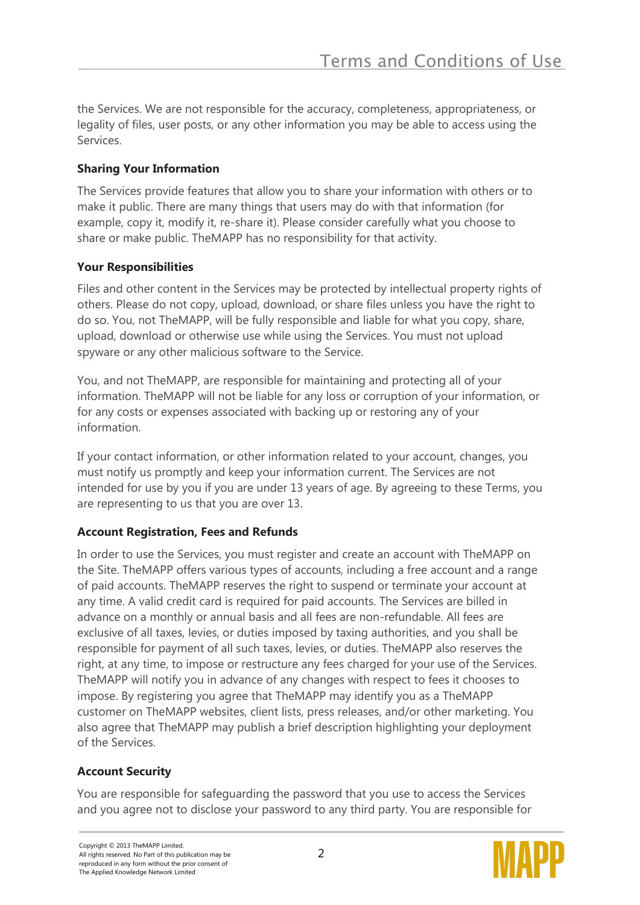the Services. We are not responsible for the accuracy, completeness, appropriateness, or legality of files, user posts, or any other information you may be able to access using the Services.

### **Sharing Your Information**

The Services provide features that allow you to share your information with others or to make it public. There are many things that users may do with that information (for example, copy it, modify it, re-share it). Please consider carefully what you choose to share or make public. TheMAPP has no responsibility for that activity.

#### **Your Responsibilities**

Files and other content in the Services may be protected by intellectual property rights of others. Please do not copy, upload, download, or share files unless you have the right to do so. You, not TheMAPP, will be fully responsible and liable for what you copy, share, upload, download or otherwise use while using the Services. You must not upload spyware or any other malicious software to the Service.

You, and not TheMAPP, are responsible for maintaining and protecting all of your information. TheMAPP will not be liable for any loss or corruption of your information, or for any costs or expenses associated with backing up or restoring any of your information.

If your contact information, or other information related to your account, changes, you must notify us promptly and keep your information current. The Services are not intended for use by you if you are under 13 years of age. By agreeing to these Terms, you are representing to us that you are over 13.

# **Account Registration, Fees and Refunds**

In order to use the Services, you must register and create an account with TheMAPP on the Site. TheMAPP offers various types of accounts, including a free account and a range of paid accounts. TheMAPP reserves the right to suspend or terminate your account at any time. A valid credit card is required for paid accounts. The Services are billed in advance on a monthly or annual basis and all fees are non-refundable. All fees are exclusive of all taxes, levies, or duties imposed by taxing authorities, and you shall be responsible for payment of all such taxes, levies, or duties. TheMAPP also reserves the right, at any time, to impose or restructure any fees charged for your use of the Services. TheMAPP will notify you in advance of any changes with respect to fees it chooses to impose. By registering you agree that TheMAPP may identify you as a TheMAPP customer on TheMAPP websites, client lists, press releases, and/or other marketing. You also agree that TheMAPP may publish a brief description highlighting your deployment of the Services.

# **Account Security**

You are responsible for safeguarding the password that you use to access the Services and you agree not to disclose your password to any third party. You are responsible for

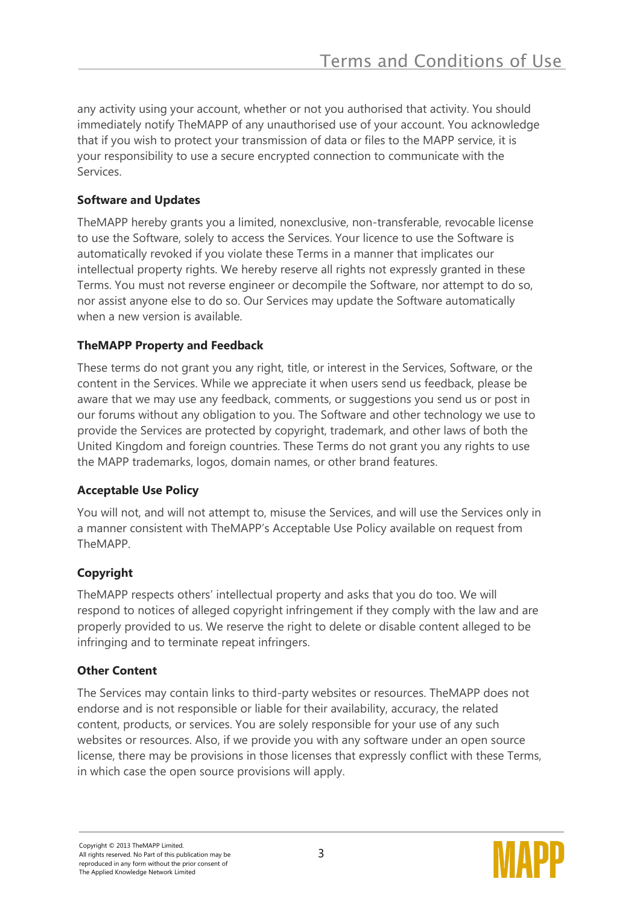any activity using your account, whether or not you authorised that activity. You should immediately notify TheMAPP of any unauthorised use of your account. You acknowledge that if you wish to protect your transmission of data or files to the MAPP service, it is your responsibility to use a secure encrypted connection to communicate with the Services.

### **Software and Updates**

TheMAPP hereby grants you a limited, nonexclusive, non-transferable, revocable license to use the Software, solely to access the Services. Your licence to use the Software is automatically revoked if you violate these Terms in a manner that implicates our intellectual property rights. We hereby reserve all rights not expressly granted in these Terms. You must not reverse engineer or decompile the Software, nor attempt to do so, nor assist anyone else to do so. Our Services may update the Software automatically when a new version is available.

## **TheMAPP Property and Feedback**

These terms do not grant you any right, title, or interest in the Services, Software, or the content in the Services. While we appreciate it when users send us feedback, please be aware that we may use any feedback, comments, or suggestions you send us or post in our forums without any obligation to you. The Software and other technology we use to provide the Services are protected by copyright, trademark, and other laws of both the United Kingdom and foreign countries. These Terms do not grant you any rights to use the MAPP trademarks, logos, domain names, or other brand features.

#### **Acceptable Use Policy**

You will not, and will not attempt to, misuse the Services, and will use the Services only in a manner consistent with TheMAPP's Acceptable Use Policy available on request from TheMAPP.

# **Copyright**

TheMAPP respects others' intellectual property and asks that you do too. We will respond to notices of alleged copyright infringement if they comply with the law and are properly provided to us. We reserve the right to delete or disable content alleged to be infringing and to terminate repeat infringers.

# **Other Content**

The Services may contain links to third-party websites or resources. TheMAPP does not endorse and is not responsible or liable for their availability, accuracy, the related content, products, or services. You are solely responsible for your use of any such websites or resources. Also, if we provide you with any software under an open source license, there may be provisions in those licenses that expressly conflict with these Terms, in which case the open source provisions will apply.

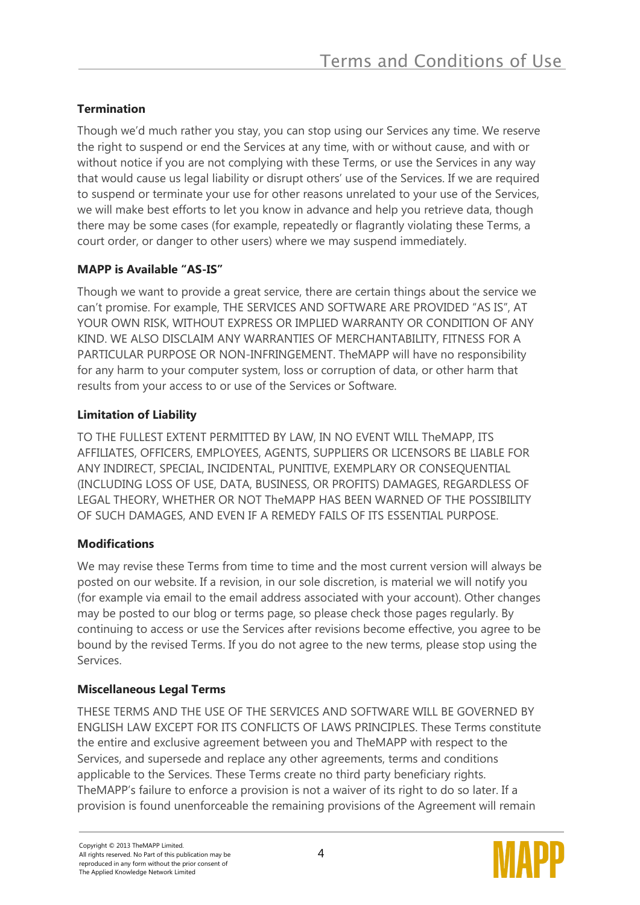### **Termination**

Though we'd much rather you stay, you can stop using our Services any time. We reserve the right to suspend or end the Services at any time, with or without cause, and with or without notice if you are not complying with these Terms, or use the Services in any way that would cause us legal liability or disrupt others' use of the Services. If we are required to suspend or terminate your use for other reasons unrelated to your use of the Services, we will make best efforts to let you know in advance and help you retrieve data, though there may be some cases (for example, repeatedly or flagrantly violating these Terms, a court order, or danger to other users) where we may suspend immediately.

## **MAPP is Available "AS-IS"**

Though we want to provide a great service, there are certain things about the service we can't promise. For example, THE SERVICES AND SOFTWARE ARE PROVIDED "AS IS", AT YOUR OWN RISK, WITHOUT EXPRESS OR IMPLIED WARRANTY OR CONDITION OF ANY KIND. WE ALSO DISCLAIM ANY WARRANTIES OF MERCHANTABILITY, FITNESS FOR A PARTICULAR PURPOSE OR NON-INFRINGEMENT. TheMAPP will have no responsibility for any harm to your computer system, loss or corruption of data, or other harm that results from your access to or use of the Services or Software.

## **Limitation of Liability**

TO THE FULLEST EXTENT PERMITTED BY LAW, IN NO EVENT WILL TheMAPP, ITS AFFILIATES, OFFICERS, EMPLOYEES, AGENTS, SUPPLIERS OR LICENSORS BE LIABLE FOR ANY INDIRECT, SPECIAL, INCIDENTAL, PUNITIVE, EXEMPLARY OR CONSEQUENTIAL (INCLUDING LOSS OF USE, DATA, BUSINESS, OR PROFITS) DAMAGES, REGARDLESS OF LEGAL THEORY, WHETHER OR NOT TheMAPP HAS BEEN WARNED OF THE POSSIBILITY OF SUCH DAMAGES, AND EVEN IF A REMEDY FAILS OF ITS ESSENTIAL PURPOSE.

#### **Modifications**

We may revise these Terms from time to time and the most current version will always be posted on our website. If a revision, in our sole discretion, is material we will notify you (for example via email to the email address associated with your account). Other changes may be posted to our blog or terms page, so please check those pages regularly. By continuing to access or use the Services after revisions become effective, you agree to be bound by the revised Terms. If you do not agree to the new terms, please stop using the Services.

#### **Miscellaneous Legal Terms**

THESE TERMS AND THE USE OF THE SERVICES AND SOFTWARE WILL BE GOVERNED BY ENGLISH LAW EXCEPT FOR ITS CONFLICTS OF LAWS PRINCIPLES. These Terms constitute the entire and exclusive agreement between you and TheMAPP with respect to the Services, and supersede and replace any other agreements, terms and conditions applicable to the Services. These Terms create no third party beneficiary rights. TheMAPP's failure to enforce a provision is not a waiver of its right to do so later. If a provision is found unenforceable the remaining provisions of the Agreement will remain